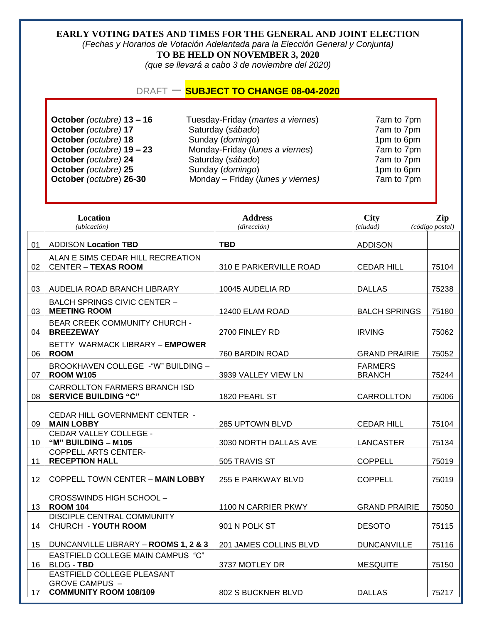## **EARLY VOTING DATES AND TIMES FOR THE GENERAL AND JOINT ELECTION**

*(Fechas y Horarios de Votación Adelantada para la Elección General y Conjunta)*  **TO BE HELD ON NOVEMBER 3, 2020**

*(que se llevará a cabo 3 de noviembre del 2020)* 

### DRAFT – **SUBJECT TO CHANGE 08-04-2020**

**October** *(octubre)* **13 – 16** Tuesday-Friday (*martes a viernes*) 7am to 7pm **October** *(octubre)* **17** Saturday (*sábado*) 7am to 7pm **October** (*octubre*) **18** Sunday (*domingo*) 1pm to 6pm **October** *(octubre)* **19 – 23** Monday-Friday (*lunes a viernes*) 7am to 7pm **October** *(octubre)* **24** Saturday (*sábado*) 7am to 7pm<br> **October** *(octubre)* **25** Sunday (*domingo*) 7am to 6pm **October** *(octubre)* **25** Sunday (*domingo*) 1pm to 6pm **October** *(octubre*) **26-30** Monday – Friday (*lunes y viernes)* 7am to 7pm

| Location<br>(ubicación) |                                                                               | <b>Address</b><br>(dirección) | <b>City</b><br>(ciudad)         | Zip<br>(código postal) |
|-------------------------|-------------------------------------------------------------------------------|-------------------------------|---------------------------------|------------------------|
| 01                      | <b>ADDISON Location TBD</b>                                                   | <b>TBD</b>                    | <b>ADDISON</b>                  |                        |
| 02                      | ALAN E SIMS CEDAR HILL RECREATION<br><b>CENTER - TEXAS ROOM</b>               | 310 E PARKERVILLE ROAD        | <b>CEDAR HILL</b>               | 75104                  |
| 03                      | AUDELIA ROAD BRANCH LIBRARY                                                   | 10045 AUDELIA RD              | <b>DALLAS</b>                   | 75238                  |
| 03                      | <b>BALCH SPRINGS CIVIC CENTER -</b><br><b>MEETING ROOM</b>                    | 12400 ELAM ROAD               | <b>BALCH SPRINGS</b>            | 75180                  |
| 04                      | <b>BEAR CREEK COMMUNITY CHURCH -</b><br><b>BREEZEWAY</b>                      | 2700 FINLEY RD                | <b>IRVING</b>                   | 75062                  |
| 06                      | BETTY WARMACK LIBRARY - EMPOWER<br><b>ROOM</b>                                | 760 BARDIN ROAD               | <b>GRAND PRAIRIE</b>            | 75052                  |
| 07                      | BROOKHAVEN COLLEGE - "W" BUILDING -<br><b>ROOM W105</b>                       | 3939 VALLEY VIEW LN           | <b>FARMERS</b><br><b>BRANCH</b> | 75244                  |
| 08                      | <b>CARROLLTON FARMERS BRANCH ISD</b><br><b>SERVICE BUILDING "C"</b>           | 1820 PEARL ST                 | <b>CARROLLTON</b>               | 75006                  |
| 09                      | CEDAR HILL GOVERNMENT CENTER -<br><b>MAIN LOBBY</b>                           | 285 UPTOWN BLVD               | <b>CEDAR HILL</b>               | 75104                  |
| 10                      | CEDAR VALLEY COLLEGE -<br>"M" BUILDING - M105                                 | 3030 NORTH DALLAS AVE         | LANCASTER                       | 75134                  |
| 11                      | <b>COPPELL ARTS CENTER-</b><br><b>RECEPTION HALL</b>                          | 505 TRAVIS ST                 | <b>COPPELL</b>                  | 75019                  |
| 12                      | <b>COPPELL TOWN CENTER - MAIN LOBBY</b>                                       | 255 E PARKWAY BLVD            | <b>COPPELL</b>                  | 75019                  |
| 13                      | <b>CROSSWINDS HIGH SCHOOL -</b><br><b>ROOM 104</b>                            | 1100 N CARRIER PKWY           | <b>GRAND PRAIRIE</b>            | 75050                  |
| 14                      | <b>DISCIPLE CENTRAL COMMUNITY</b><br><b>CHURCH - YOUTH ROOM</b>               | 901 N POLK ST                 | <b>DESOTO</b>                   | 75115                  |
| 15                      | DUNCANVILLE LIBRARY - ROOMS 1, 2 & 3                                          | 201 JAMES COLLINS BLVD        | <b>DUNCANVILLE</b>              | 75116                  |
| 16                      | <b>EASTFIELD COLLEGE MAIN CAMPUS "C"</b><br><b>BLDG - TBD</b>                 | 3737 MOTLEY DR                | <b>MESQUITE</b>                 | 75150                  |
| 17                      | EASTFIELD COLLEGE PLEASANT<br>GROVE CAMPUS -<br><b>COMMUNITY ROOM 108/109</b> | 802 S BUCKNER BLVD            | <b>DALLAS</b>                   | 75217                  |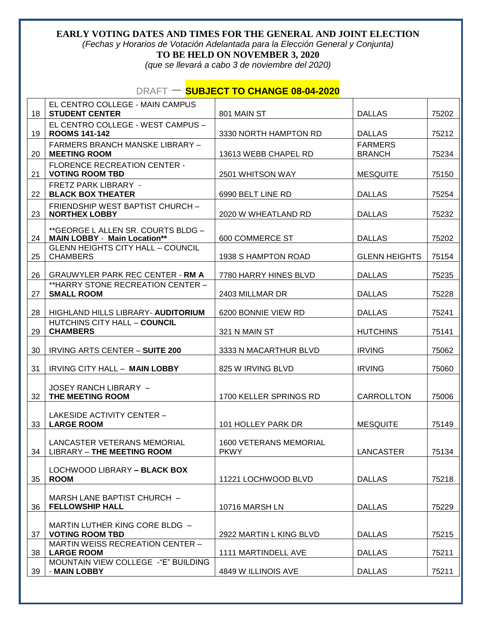#### **EARLY VOTING DATES AND TIMES FOR THE GENERAL AND JOINT ELECTION**  *(Fechas y Horarios de Votación Adelantada para la Elección General y Conjunta)*

**TO BE HELD ON NOVEMBER 3, 2020**

*(que se llevará a cabo 3 de noviembre del 2020)* 

# DRAFT – **SUBJECT TO CHANGE 08-04-2020**

| 18 | EL CENTRO COLLEGE - MAIN CAMPUS<br><b>STUDENT CENTER</b>                  | 801 MAIN ST                                  | <b>DALLAS</b>                   | 75202 |
|----|---------------------------------------------------------------------------|----------------------------------------------|---------------------------------|-------|
|    | EL CENTRO COLLEGE - WEST CAMPUS -                                         |                                              |                                 |       |
| 19 | <b>ROOMS 141-142</b>                                                      | 3330 NORTH HAMPTON RD                        | <b>DALLAS</b>                   | 75212 |
| 20 | <b>FARMERS BRANCH MANSKE LIBRARY -</b><br><b>MEETING ROOM</b>             | 13613 WEBB CHAPEL RD                         | <b>FARMERS</b><br><b>BRANCH</b> | 75234 |
|    | <b>FLORENCE RECREATION CENTER -</b>                                       |                                              |                                 |       |
| 21 | <b>VOTING ROOM TBD</b>                                                    | 2501 WHITSON WAY                             | <b>MESQUITE</b>                 | 75150 |
| 22 | <b>FRETZ PARK LIBRARY -</b><br><b>BLACK BOX THEATER</b>                   | 6990 BELT LINE RD                            | <b>DALLAS</b>                   | 75254 |
| 23 | FRIENDSHIP WEST BAPTIST CHURCH -<br><b>NORTHEX LOBBY</b>                  | 2020 W WHEATLAND RD                          | <b>DALLAS</b>                   | 75232 |
| 24 | **GEORGE L ALLEN SR. COURTS BLDG -<br><b>MAIN LOBBY - Main Location**</b> | 600 COMMERCE ST                              | <b>DALLAS</b>                   | 75202 |
| 25 | <b>GLENN HEIGHTS CITY HALL - COUNCIL</b><br><b>CHAMBERS</b>               | 1938 S HAMPTON ROAD                          | <b>GLENN HEIGHTS</b>            | 75154 |
| 26 | <b>GRAUWYLER PARK REC CENTER - RM A</b>                                   | 7780 HARRY HINES BLVD                        | <b>DALLAS</b>                   | 75235 |
| 27 | ** HARRY STONE RECREATION CENTER -<br><b>SMALL ROOM</b>                   | 2403 MILLMAR DR                              | <b>DALLAS</b>                   | 75228 |
| 28 | HIGHLAND HILLS LIBRARY- AUDITORIUM                                        | 6200 BONNIE VIEW RD                          | <b>DALLAS</b>                   | 75241 |
| 29 | HUTCHINS CITY HALL - COUNCIL<br><b>CHAMBERS</b>                           | 321 N MAIN ST                                | <b>HUTCHINS</b>                 | 75141 |
| 30 | IRVING ARTS CENTER - SUITE 200                                            | 3333 N MACARTHUR BLVD                        | <b>IRVING</b>                   | 75062 |
| 31 | IRVING CITY HALL - MAIN LOBBY                                             | 825 W IRVING BLVD                            | <b>IRVING</b>                   | 75060 |
| 32 | JOSEY RANCH LIBRARY -<br>THE MEETING ROOM                                 | 1700 KELLER SPRINGS RD                       | CARROLLTON                      | 75006 |
| 33 | LAKESIDE ACTIVITY CENTER -<br><b>LARGE ROOM</b>                           | 101 HOLLEY PARK DR                           | <b>MESQUITE</b>                 | 75149 |
|    | LANCASTER VETERANS MEMORIAL<br>34   LIBRARY - THE MEETING ROOM            | <b>1600 VETERANS MEMORIAL</b><br><b>PKWY</b> | LANCASTER                       | 75134 |
| 35 | LOCHWOOD LIBRARY - BLACK BOX<br><b>ROOM</b>                               | 11221 LOCHWOOD BLVD                          | <b>DALLAS</b>                   | 75218 |
| 36 | MARSH LANE BAPTIST CHURCH -<br><b>FELLOWSHIP HALL</b>                     | 10716 MARSH LN                               | <b>DALLAS</b>                   | 75229 |
| 37 | MARTIN LUTHER KING CORE BLDG -<br><b>VOTING ROOM TBD</b>                  | 2922 MARTIN L KING BLVD                      | <b>DALLAS</b>                   | 75215 |
| 38 | MARTIN WEISS RECREATION CENTER -<br><b>LARGE ROOM</b>                     | 1111 MARTINDELL AVE                          | <b>DALLAS</b>                   | 75211 |
| 39 | MOUNTAIN VIEW COLLEGE -"E" BUILDING<br>- MAIN LOBBY                       | 4849 W ILLINOIS AVE                          | <b>DALLAS</b>                   | 75211 |